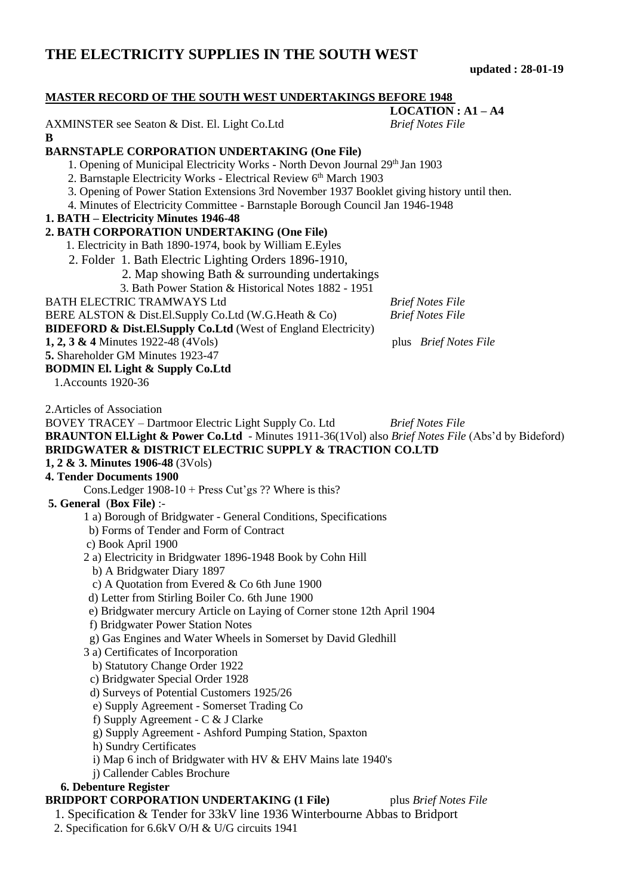**updated : 28-01-19**

| <b>MASTER RECORD OF THE SOUTH WEST UNDERTAKINGS BEFORE 1948</b>                                                 |                         |  |
|-----------------------------------------------------------------------------------------------------------------|-------------------------|--|
|                                                                                                                 | $LOGATION: A1 - A4$     |  |
| AXMINSTER see Seaton & Dist. El. Light Co.Ltd<br>B                                                              | <b>Brief Notes File</b> |  |
| <b>BARNSTAPLE CORPORATION UNDERTAKING (One File)</b>                                                            |                         |  |
| 1. Opening of Municipal Electricity Works - North Devon Journal 29th Jan 1903                                   |                         |  |
| 2. Barnstaple Electricity Works - Electrical Review 6th March 1903                                              |                         |  |
| 3. Opening of Power Station Extensions 3rd November 1937 Booklet giving history until then.                     |                         |  |
| 4. Minutes of Electricity Committee - Barnstaple Borough Council Jan 1946-1948                                  |                         |  |
| 1. BATH – Electricity Minutes 1946-48                                                                           |                         |  |
| 2. BATH CORPORATION UNDERTAKING (One File)                                                                      |                         |  |
| 1. Electricity in Bath 1890-1974, book by William E. Eyles                                                      |                         |  |
| 2. Folder 1. Bath Electric Lighting Orders 1896-1910,                                                           |                         |  |
| 2. Map showing Bath & surrounding undertakings                                                                  |                         |  |
| 3. Bath Power Station & Historical Notes 1882 - 1951                                                            |                         |  |
| <b>BATH ELECTRIC TRAMWAYS Ltd</b>                                                                               | <b>Brief Notes File</b> |  |
| BERE ALSTON & Dist.El.Supply Co.Ltd (W.G.Heath & Co)                                                            | <b>Brief Notes File</b> |  |
| <b>BIDEFORD &amp; Dist.El.Supply Co.Ltd (West of England Electricity)</b>                                       |                         |  |
| 1, 2, 3 & 4 Minutes 1922-48 (4 Vols)                                                                            | plus Brief Notes File   |  |
| 5. Shareholder GM Minutes 1923-47                                                                               |                         |  |
| <b>BODMIN El. Light &amp; Supply Co.Ltd</b>                                                                     |                         |  |
| 1. Accounts 1920-36                                                                                             |                         |  |
| 2. Articles of Association                                                                                      |                         |  |
| BOVEY TRACEY - Dartmoor Electric Light Supply Co. Ltd                                                           | <b>Brief Notes File</b> |  |
| <b>BRAUNTON El. Light &amp; Power Co. Ltd</b> - Minutes 1911-36(1Vol) also Brief Notes File (Abs'd by Bideford) |                         |  |
| <b>BRIDGWATER &amp; DISTRICT ELECTRIC SUPPLY &amp; TRACTION CO.LTD</b>                                          |                         |  |
| 1, 2 & 3. Minutes 1906-48 (3 Vols)                                                                              |                         |  |
| <b>4. Tender Documents 1900</b>                                                                                 |                         |  |
| Cons.Ledger 1908-10 + Press Cut'gs ?? Where is this?                                                            |                         |  |
| 5. General (Box File) :-                                                                                        |                         |  |
| 1 a) Borough of Bridgwater - General Conditions, Specifications                                                 |                         |  |
| b) Forms of Tender and Form of Contract                                                                         |                         |  |
| c) Book April 1900                                                                                              |                         |  |
| 2 a) Electricity in Bridgwater 1896-1948 Book by Cohn Hill                                                      |                         |  |
| b) A Bridgwater Diary 1897                                                                                      |                         |  |
| c) A Quotation from Evered $& Co 6th June 1900$                                                                 |                         |  |
| d) Letter from Stirling Boiler Co. 6th June 1900                                                                |                         |  |
| e) Bridgwater mercury Article on Laying of Corner stone 12th April 1904                                         |                         |  |
| f) Bridgwater Power Station Notes                                                                               |                         |  |
| g) Gas Engines and Water Wheels in Somerset by David Gledhill                                                   |                         |  |
| 3 a) Certificates of Incorporation                                                                              |                         |  |
| b) Statutory Change Order 1922                                                                                  |                         |  |
| c) Bridgwater Special Order 1928                                                                                |                         |  |
| d) Surveys of Potential Customers 1925/26                                                                       |                         |  |
| e) Supply Agreement - Somerset Trading Co                                                                       |                         |  |
| f) Supply Agreement - $C & J$ Clarke                                                                            |                         |  |
| g) Supply Agreement - Ashford Pumping Station, Spaxton                                                          |                         |  |
| h) Sundry Certificates                                                                                          |                         |  |
| i) Map 6 inch of Bridgwater with HV & EHV Mains late 1940's                                                     |                         |  |
| j) Callender Cables Brochure                                                                                    |                         |  |
| 6. Debenture Register                                                                                           |                         |  |
| <b>BRIDPORT CORPORATION UNDERTAKING (1 File)</b><br>plus Brief Notes File                                       |                         |  |
| 1. Specification & Tender for 33kV line 1936 Winterbourne Abbas to Bridport                                     |                         |  |
| 2. Specification for 6.6kV O/H & U/G circuits 1941                                                              |                         |  |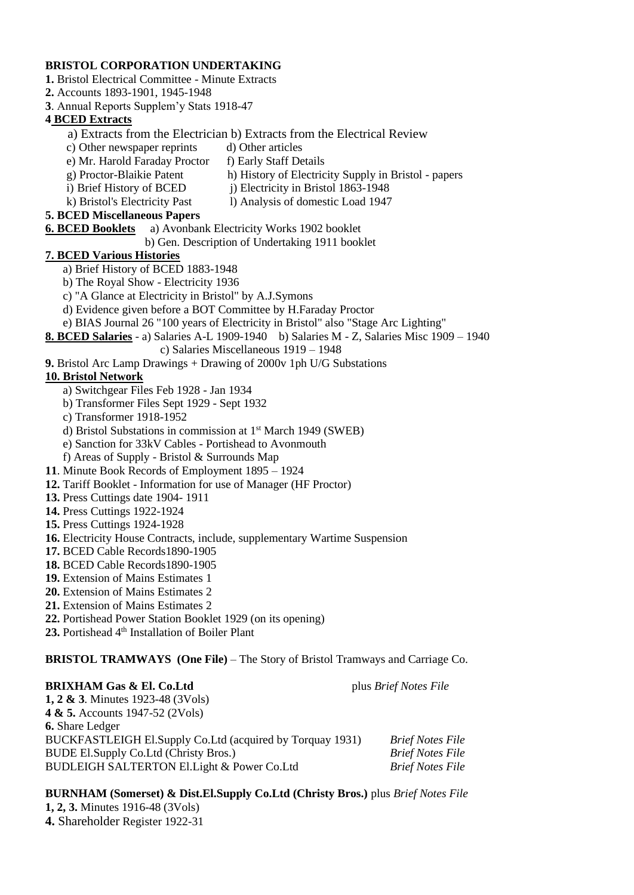### **BRISTOL CORPORATION UNDERTAKING**

- **1.** Bristol Electrical Committee Minute Extracts
- **2.** Accounts 1893-1901, 1945-1948
- **3**. Annual Reports Supplem'y Stats 1918-47

# **4 BCED Extracts**

- a) Extracts from the Electrician b) Extracts from the Electrical Review
- c) Other newspaper reprints d) Other articles
- e) Mr. Harold Faraday Proctor f) Early Staff Details
- 
- g) Proctor-Blaikie Patent h) History of Electricity Supply in Bristol papers i) Brief History of BCED j) Electricity in Bristol 1863-1948
- 
- k) Bristol's Electricity Past l) Analysis of domestic Load 1947
- **5. BCED Miscellaneous Papers**
	-
- **6. BCED Booklets** a) Avonbank Electricity Works 1902 booklet
	- b) Gen. Description of Undertaking 1911 booklet

# **7. BCED Various Histories**

- a) Brief History of BCED 1883-1948
- b) The Royal Show Electricity 1936
- c) "A Glance at Electricity in Bristol" by A.J.Symons
- d) Evidence given before a BOT Committee by H.Faraday Proctor
- e) BIAS Journal 26 "100 years of Electricity in Bristol" also "Stage Arc Lighting"
- **8. BCED Salaries** a) Salaries A-L 1909-1940 b) Salaries M Z, Salaries Misc 1909 1940

# c) Salaries Miscellaneous 1919 – 1948

**9.** Bristol Arc Lamp Drawings + Drawing of 2000v 1ph U/G Substations

# **10. Bristol Network**

- a) Switchgear Files Feb 1928 Jan 1934
- b) Transformer Files Sept 1929 Sept 1932
- c) Transformer 1918-1952
- d) Bristol Substations in commission at 1st March 1949 (SWEB)
- e) Sanction for 33kV Cables Portishead to Avonmouth
- f) Areas of Supply Bristol & Surrounds Map
- **11**. Minute Book Records of Employment 1895 1924
- **12.** Tariff Booklet Information for use of Manager (HF Proctor)
- **13.** Press Cuttings date 1904- 1911
- **14.** Press Cuttings 1922-1924
- **15.** Press Cuttings 1924-1928
- **16.** Electricity House Contracts, include, supplementary Wartime Suspension
- **17.** BCED Cable Records1890-1905
- **18.** BCED Cable Records1890-1905
- **19.** Extension of Mains Estimates 1
- **20.** Extension of Mains Estimates 2
- **21.** Extension of Mains Estimates 2
- **22.** Portishead Power Station Booklet 1929 (on its opening)
- 23. Portishead 4<sup>th</sup> Installation of Boiler Plant

# **BRISTOL TRAMWAYS (One File)** – The Story of Bristol Tramways and Carriage Co.

### **BRIXHAM Gas & El. Co.Ltd** plus *Brief Notes File* **1, 2 & 3**. Minutes 1923-48 (3Vols) **4 & 5.** Accounts 1947-52 (2Vols) **6.** Share Ledger BUCKFASTLEIGH El.Supply Co.Ltd (acquired by Torquay 1931) *Brief Notes File* BUDE El.Supply Co.Ltd (Christy Bros.) *Brief Notes File* BUDLEIGH SALTERTON El.Light & Power Co.Ltd *Brief Notes File*

#### **BURNHAM (Somerset) & Dist.El.Supply Co.Ltd (Christy Bros.)** plus *Brief Notes File* **1, 2, 3.** Minutes 1916-48 (3Vols) **4.** Shareholder Register 1922-31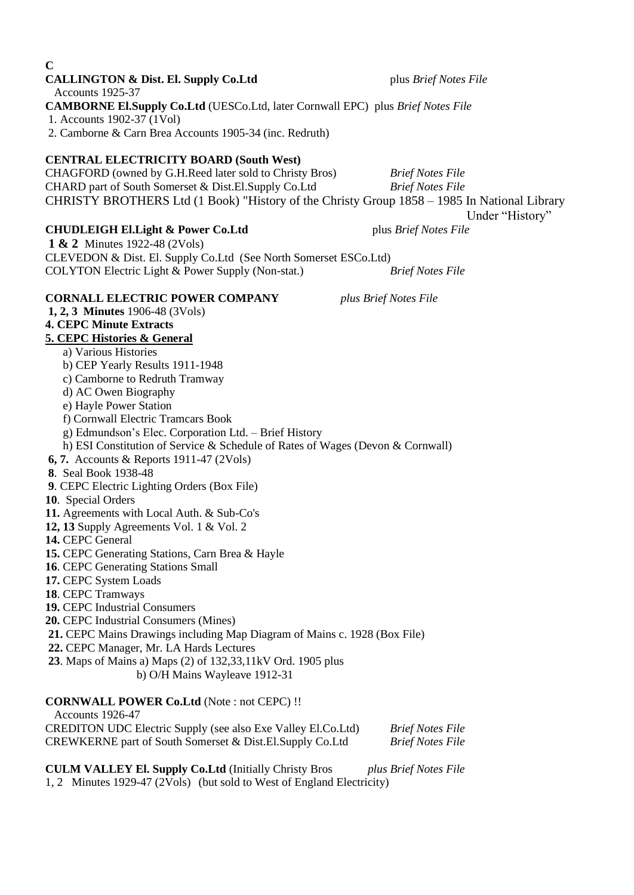| <b>CALLINGTON &amp; Dist. El. Supply Co.Ltd</b>                                                                      | plus Brief Notes File   |
|----------------------------------------------------------------------------------------------------------------------|-------------------------|
| Accounts 1925-37                                                                                                     |                         |
| <b>CAMBORNE El.Supply Co.Ltd</b> (UESCo.Ltd, later Cornwall EPC) plus Brief Notes File<br>1. Accounts 1902-37 (1Vol) |                         |
| 2. Camborne & Carn Brea Accounts 1905-34 (inc. Redruth)                                                              |                         |
|                                                                                                                      |                         |
| <b>CENTRAL ELECTRICITY BOARD (South West)</b>                                                                        |                         |
| CHAGFORD (owned by G.H.Reed later sold to Christy Bros)                                                              | <b>Brief Notes File</b> |
| CHARD part of South Somerset & Dist.El.Supply Co.Ltd                                                                 | <b>Brief Notes File</b> |
| CHRISTY BROTHERS Ltd (1 Book) "History of the Christy Group 1858 - 1985 In National Library                          |                         |
|                                                                                                                      | Under "History"         |
| <b>CHUDLEIGH El.Light &amp; Power Co.Ltd</b><br><b>1 &amp; 2</b> Minutes 1922-48 (2Vols)                             | plus Brief Notes File   |
| CLEVEDON & Dist. El. Supply Co.Ltd (See North Somerset ESCo.Ltd)                                                     |                         |
| COLYTON Electric Light & Power Supply (Non-stat.)                                                                    | <b>Brief Notes File</b> |
|                                                                                                                      |                         |
| <b>CORNALL ELECTRIC POWER COMPANY</b>                                                                                | plus Brief Notes File   |
| 1, 2, 3 Minutes 1906-48 (3Vols)                                                                                      |                         |
| <b>4. CEPC Minute Extracts</b>                                                                                       |                         |
| 5. CEPC Histories & General                                                                                          |                         |
| a) Various Histories<br>b) CEP Yearly Results 1911-1948                                                              |                         |
| c) Camborne to Redruth Tramway                                                                                       |                         |
| d) AC Owen Biography                                                                                                 |                         |
| e) Hayle Power Station                                                                                               |                         |
| f) Cornwall Electric Tramcars Book                                                                                   |                         |
| g) Edmundson's Elec. Corporation Ltd. - Brief History                                                                |                         |
| h) ESI Constitution of Service & Schedule of Rates of Wages (Devon & Cornwall)                                       |                         |
| 6, 7. Accounts & Reports $1911-47$ (2Vols)                                                                           |                         |
| 8. Seal Book 1938-48                                                                                                 |                         |
| 9. CEPC Electric Lighting Orders (Box File)<br>10. Special Orders                                                    |                         |
| 11. Agreements with Local Auth. & Sub-Co's                                                                           |                         |
| 12, 13 Supply Agreements Vol. 1 & Vol. 2                                                                             |                         |
| 14. CEPC General                                                                                                     |                         |
| 15. CEPC Generating Stations, Carn Brea & Hayle                                                                      |                         |
| 16. CEPC Generating Stations Small                                                                                   |                         |
| 17. CEPC System Loads                                                                                                |                         |
| 18. CEPC Tramways                                                                                                    |                         |
| 19. CEPC Industrial Consumers<br>20. CEPC Industrial Consumers (Mines)                                               |                         |
| 21. CEPC Mains Drawings including Map Diagram of Mains c. 1928 (Box File)                                            |                         |
| 22. CEPC Manager, Mr. LA Hards Lectures                                                                              |                         |
| 23. Maps of Mains a) Maps (2) of 132,33,11kV Ord. 1905 plus                                                          |                         |
| b) O/H Mains Wayleave 1912-31                                                                                        |                         |
|                                                                                                                      |                         |
| CORNWALL POWER Co.Ltd (Note: not CEPC)!!                                                                             |                         |

Accounts 1926-47

**C**

CREDITON UDC Electric Supply (see also Exe Valley El.Co.Ltd) *Brief Notes File* CREWKERNE part of South Somerset & Dist.El.Supply Co.Ltd *Brief Notes File*

**CULM VALLEY El. Supply Co.Ltd** (Initially Christy Bros *plus Brief Notes File* 1, 2 Minutes 1929-47 (2Vols) (but sold to West of England Electricity)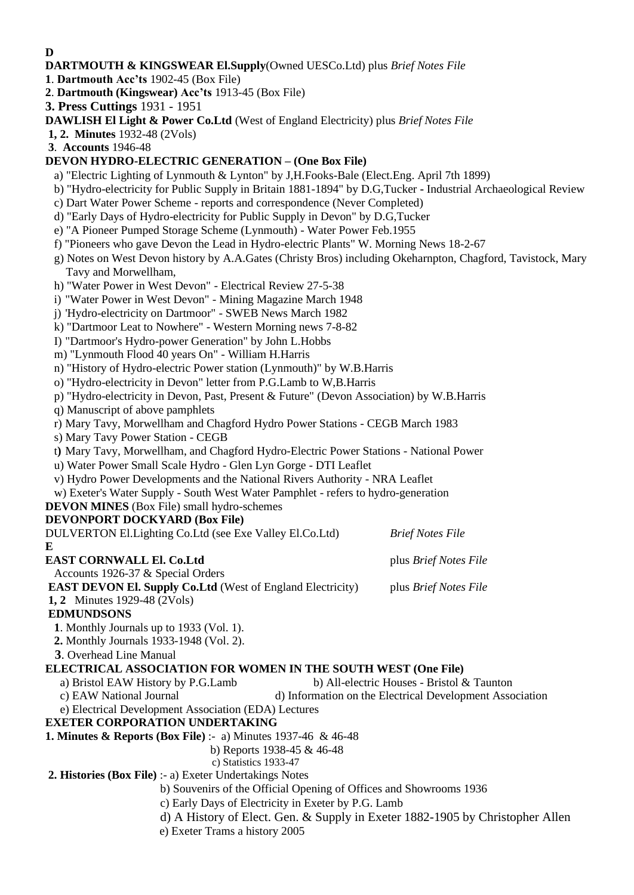**D**

# **DARTMOUTH & KINGSWEAR El.Supply**(Owned UESCo.Ltd) plus *Brief Notes File*

- **1**. **Dartmouth Acc'ts** 1902-45 (Box File)
- **2**. **Dartmouth (Kingswear) Acc'ts** 1913-45 (Box File)
- **3. Press Cuttings** 1931 1951
- **DAWLISH El Light & Power Co.Ltd** (West of England Electricity) plus *Brief Notes File*
- **1, 2. Minutes** 1932-48 (2Vols)

**3**. **Accounts** 1946-48

# **DEVON HYDRO-ELECTRIC GENERATION – (One Box File)**

- a) "Electric Lighting of Lynmouth & Lynton" by J,H.Fooks-Bale (Elect.Eng. April 7th 1899)
- b) "Hydro-electricity for Public Supply in Britain 1881-1894" by D.G,Tucker **-** Industrial Archaeological Review
- c) Dart Water Power Scheme reports and correspondence (Never Completed)
- d) "Early Days of Hydro-electricity for Public Supply in Devon" by D.G,Tucker
- e) "A Pioneer Pumped Storage Scheme (Lynmouth) Water Power Feb.1955
- f) "Pioneers who gave Devon the Lead in Hydro-electric Plants" W. Morning News 18-2-67
- g) Notes on West Devon history by A.A.Gates (Christy Bros) including Okeharnpton, Chagford, Tavistock, Mary Tavy and Morwellham,
- h) "Water Power in West Devon" Electrical Review 27-5-38
- i) "Water Power in West Devon" Mining Magazine March 1948
- j) 'Hydro-electricity on Dartmoor" SWEB News March 1982
- k) "Dartmoor Leat to Nowhere" Western Morning news 7-8-82
- I) "Dartmoor's Hydro-power Generation" by John L.Hobbs
- m) "Lynmouth Flood 40 years On" William H.Harris
- n) "History of Hydro-electric Power station (Lynmouth)" by W.B.Harris
- o) "Hydro-electricity in Devon" letter from P.G.Lamb to W,B.Harris
- p) "Hydro-electricity in Devon, Past, Present & Future" (Devon Association) by W.B.Harris
- q) Manuscript of above pamphlets
- r) Mary Tavy, Morwellham and Chagford Hydro Power Stations CEGB March 1983
- s) Mary Tavy Power Station CEGB
- t**)** Mary Tavy, Morwellham, and Chagford Hydro-Electric Power Stations National Power
- u) Water Power Small Scale Hydro Glen Lyn Gorge DTI Leaflet
- v) Hydro Power Developments and the National Rivers Authority NRA Leaflet
- w) Exeter's Water Supply South West Water Pamphlet refers to hydro-generation
- **DEVON MINES** (Box File) small hydro-schemes

# **DEVONPORT DOCKYARD (Box File)**

DULVERTON El.Lighting Co.Ltd (see Exe Valley El.Co.Ltd) *Brief Notes File* **E**

# **EAST CORNWALL El. Co.Ltd** plus *Brief Notes File*

Accounts 1926-37 & Special Orders

**EAST DEVON El. Supply Co.Ltd** (West of England Electricity) plus *Brief Notes File*

**1, 2** Minutes 1929-48 (2Vols)

# **EDMUNDSONS**

- **1**. Monthly Journals up to 1933 (Vol. 1).
- **2.** Monthly Journals 1933-1948 (Vol. 2).
- **3**. Overhead Line Manual

# **ELECTRICAL ASSOCIATION FOR WOMEN IN THE SOUTH WEST (One File)**

- a) Bristol EAW History by P.G.Lamb b) All-electric Houses Bristol  $&$  Taunton
- c) EAW National Journal d) Information on the Electrical Development Association
- e) Electrical Development Association (EDA) Lectures

# **EXETER CORPORATION UNDERTAKING**

- **1. Minutes & Reports (Box File)** :- a) Minutes 1937-46 & 46-48
	- b) Reports 1938-45 & 46-48
	- c) Statistics 1933-47

# **2. Histories (Box File)** :- a) Exeter Undertakings Notes

- b) Souvenirs of the Official Opening of Offices and Showrooms 1936
- c) Early Days of Electricity in Exeter by P.G. Lamb
- d) A History of Elect. Gen. & Supply in Exeter 1882-1905 by Christopher Allen
- e) Exeter Trams a history 2005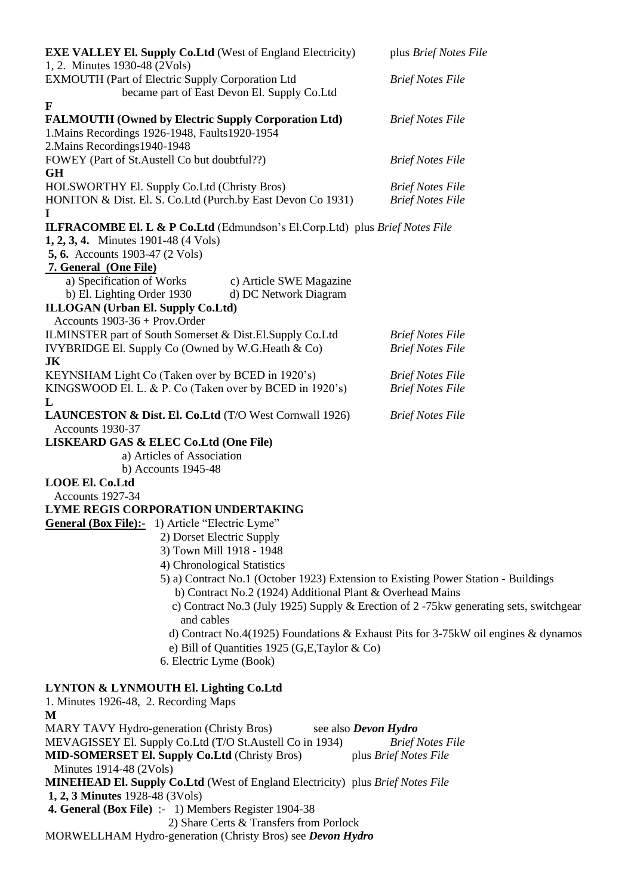| <b>EXE VALLEY El. Supply Co.Ltd</b> (West of England Electricity)<br>1, 2. Minutes 1930-48 (2Vols)                        | plus Brief Notes File                                                                 |
|---------------------------------------------------------------------------------------------------------------------------|---------------------------------------------------------------------------------------|
| EXMOUTH (Part of Electric Supply Corporation Ltd                                                                          | <b>Brief Notes File</b>                                                               |
| became part of East Devon El. Supply Co.Ltd                                                                               |                                                                                       |
| $\mathbf F$                                                                                                               |                                                                                       |
| <b>FALMOUTH (Owned by Electric Supply Corporation Ltd)</b><br>1. Mains Recordings 1926-1948, Faults 1920-1954             | <b>Brief Notes File</b>                                                               |
| 2. Mains Recordings 1940-1948<br>FOWEY (Part of St.Austell Co but doubtful??)                                             | <b>Brief Notes File</b>                                                               |
| <b>GH</b><br>HOLSWORTHY El. Supply Co.Ltd (Christy Bros)                                                                  | <b>Brief Notes File</b>                                                               |
| HONITON & Dist. El. S. Co. Ltd (Purch.by East Devon Co 1931)<br>$\bf{I}$                                                  | <b>Brief Notes File</b>                                                               |
| <b>ILFRACOMBE El. L &amp; P Co.Ltd</b> (Edmundson's El.Corp.Ltd) plus <i>Brief Notes File</i>                             |                                                                                       |
| <b>1, 2, 3, 4.</b> Minutes 1901-48 (4 Vols)                                                                               |                                                                                       |
| <b>5, 6.</b> Accounts 1903-47 (2 Vols)                                                                                    |                                                                                       |
| 7. General (One File)                                                                                                     |                                                                                       |
| a) Specification of Works<br>c) Article SWE Magazine<br>d) DC Network Diagram                                             |                                                                                       |
| b) El. Lighting Order 1930<br>ILLOGAN (Urban El. Supply Co.Ltd)                                                           |                                                                                       |
| Accounts $1903-36 + Prov. Order$                                                                                          |                                                                                       |
| ILMINSTER part of South Somerset & Dist.El.Supply Co.Ltd                                                                  | <b>Brief Notes File</b>                                                               |
| IVYBRIDGE El. Supply Co (Owned by W.G.Heath & Co)                                                                         | <b>Brief Notes File</b>                                                               |
| JK                                                                                                                        |                                                                                       |
| KEYNSHAM Light Co (Taken over by BCED in 1920's)                                                                          | <b>Brief Notes File</b>                                                               |
| KINGSWOOD El. L. & P. Co (Taken over by BCED in 1920's)                                                                   | <b>Brief Notes File</b>                                                               |
| L<br>LAUNCESTON & Dist. El. Co.Ltd (T/O West Cornwall 1926)                                                               | <b>Brief Notes File</b>                                                               |
| Accounts 1930-37                                                                                                          |                                                                                       |
| LISKEARD GAS & ELEC Co.Ltd (One File)                                                                                     |                                                                                       |
| a) Articles of Association                                                                                                |                                                                                       |
| b) Accounts $1945-48$                                                                                                     |                                                                                       |
| <b>LOOE El. Co.Ltd</b>                                                                                                    |                                                                                       |
| Accounts 1927-34                                                                                                          |                                                                                       |
| LYME REGIS CORPORATION UNDERTAKING<br>General (Box File):- 1) Article "Electric Lyme"                                     |                                                                                       |
| 2) Dorset Electric Supply                                                                                                 |                                                                                       |
| 3) Town Mill 1918 - 1948                                                                                                  |                                                                                       |
| 4) Chronological Statistics                                                                                               |                                                                                       |
| 5) a) Contract No.1 (October 1923) Extension to Existing Power Station - Buildings                                        |                                                                                       |
| b) Contract No.2 (1924) Additional Plant & Overhead Mains                                                                 |                                                                                       |
| and cables                                                                                                                | c) Contract No.3 (July 1925) Supply & Erection of 2-75kw generating sets, switchgear  |
|                                                                                                                           | d) Contract No.4(1925) Foundations & Exhaust Pits for $3-75$ kW oil engines & dynamos |
| e) Bill of Quantities 1925 (G,E,Taylor & Co)                                                                              |                                                                                       |
| 6. Electric Lyme (Book)                                                                                                   |                                                                                       |
| LYNTON & LYNMOUTH El. Lighting Co.Ltd<br>1. Minutes 1926-48, 2. Recording Maps                                            |                                                                                       |
| M                                                                                                                         |                                                                                       |
| MARY TAVY Hydro-generation (Christy Bros)<br>see also Devon Hydro                                                         |                                                                                       |
| MEVAGISSEY El. Supply Co. Ltd (T/O St. Austell Co in 1934)                                                                | <b>Brief Notes File</b>                                                               |
| <b>MID-SOMERSET El. Supply Co.Ltd (Christy Bros)</b><br>Minutes 1914-48 (2Vols)                                           | plus Brief Notes File                                                                 |
| <b>MINEHEAD El. Supply Co.Ltd</b> (West of England Electricity) plus Brief Notes File<br>1, 2, 3 Minutes 1928-48 (3 Vols) |                                                                                       |
| 4. General (Box File) :- 1) Members Register 1904-38                                                                      |                                                                                       |
| 2) Share Certs & Transfers from Porlock                                                                                   |                                                                                       |
| MORWELLHAM Hydro-generation (Christy Bros) see Devon Hydro                                                                |                                                                                       |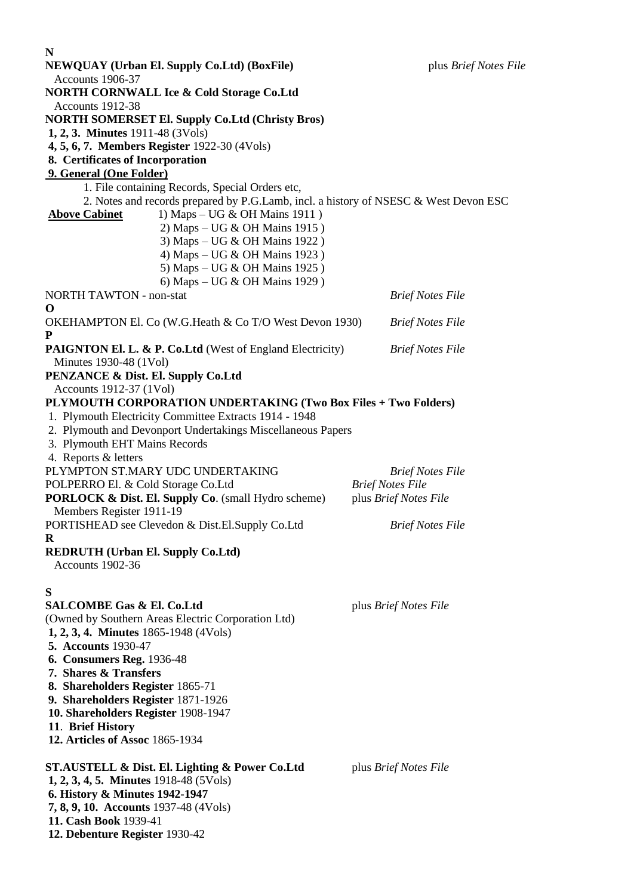| N<br><b>NEWQUAY (Urban El. Supply Co.Ltd) (BoxFile)</b><br>Accounts 1906-37                                                                                                                                                                                                                                        | plus Brief Notes File                                                       |
|--------------------------------------------------------------------------------------------------------------------------------------------------------------------------------------------------------------------------------------------------------------------------------------------------------------------|-----------------------------------------------------------------------------|
| <b>NORTH CORNWALL Ice &amp; Cold Storage Co.Ltd</b>                                                                                                                                                                                                                                                                |                                                                             |
| Accounts 1912-38<br><b>NORTH SOMERSET El. Supply Co.Ltd (Christy Bros)</b><br><b>1, 2, 3. Minutes</b> 1911-48 (3Vols)<br>4, 5, 6, 7. Members Register 1922-30 (4Vols)<br>8. Certificates of Incorporation<br>9. General (One Folder)<br>1. File containing Records, Special Orders etc,                            |                                                                             |
| 2. Notes and records prepared by P.G.Lamb, incl. a history of NSESC & West Devon ESC<br><b>Above Cabinet</b><br>1) Maps – UG & OH Mains 1911)<br>2) Maps – UG & OH Mains 1915)<br>3) Maps – UG & OH Mains 1922)<br>4) Maps – UG & OH Mains 1923)<br>5) Maps – UG & OH Mains 1925)<br>6) Maps – UG & OH Mains 1929) |                                                                             |
| <b>NORTH TAWTON - non-stat</b>                                                                                                                                                                                                                                                                                     | <b>Brief Notes File</b>                                                     |
| $\bf{O}$<br>OKEHAMPTON El. Co (W.G.Heath & Co T/O West Devon 1930)<br>P                                                                                                                                                                                                                                            | <b>Brief Notes File</b>                                                     |
| PAIGNTON El. L. & P. Co.Ltd (West of England Electricity)<br>Minutes 1930-48 (1Vol)<br>PENZANCE & Dist. El. Supply Co.Ltd                                                                                                                                                                                          | <b>Brief Notes File</b>                                                     |
| Accounts 1912-37 (1Vol)<br>PLYMOUTH CORPORATION UNDERTAKING (Two Box Files + Two Folders)<br>1. Plymouth Electricity Committee Extracts 1914 - 1948<br>2. Plymouth and Devonport Undertakings Miscellaneous Papers<br>3. Plymouth EHT Mains Records<br>4. Reports & letters                                        |                                                                             |
| PLYMPTON ST.MARY UDC UNDERTAKING<br>POLPERRO El. & Cold Storage Co.Ltd<br>PORLOCK & Dist. El. Supply Co. (small Hydro scheme)<br>Members Register 1911-19                                                                                                                                                          | <b>Brief Notes File</b><br><b>Brief Notes File</b><br>plus Brief Notes File |
| PORTISHEAD see Clevedon & Dist.El.Supply Co.Ltd                                                                                                                                                                                                                                                                    | <b>Brief Notes File</b>                                                     |
| R<br><b>REDRUTH (Urban El. Supply Co.Ltd)</b><br>Accounts 1902-36                                                                                                                                                                                                                                                  |                                                                             |
| S<br><b>SALCOMBE Gas &amp; El. Co.Ltd</b><br>(Owned by Southern Areas Electric Corporation Ltd)<br><b>1, 2, 3, 4. Minutes</b> 1865-1948 (4Vols)<br><b>5. Accounts 1930-47</b><br><b>6. Consumers Reg. 1936-48</b><br>7. Shares & Transfers                                                                         | plus Brief Notes File                                                       |
| 8. Shareholders Register 1865-71<br>9. Shareholders Register 1871-1926<br>10. Shareholders Register 1908-1947<br>11. Brief History<br>12. Articles of Assoc 1865-1934                                                                                                                                              |                                                                             |
| ST.AUSTELL & Dist. El. Lighting & Power Co.Ltd<br>1, 2, 3, 4, 5. Minutes 1918-48 (5 Vols)<br>6. History & Minutes 1942-1947<br>7, 8, 9, 10. Accounts 1937-48 (4Vols)<br>11. Cash Book 1939-41<br>12. Debenture Register 1930-42                                                                                    | plus Brief Notes File                                                       |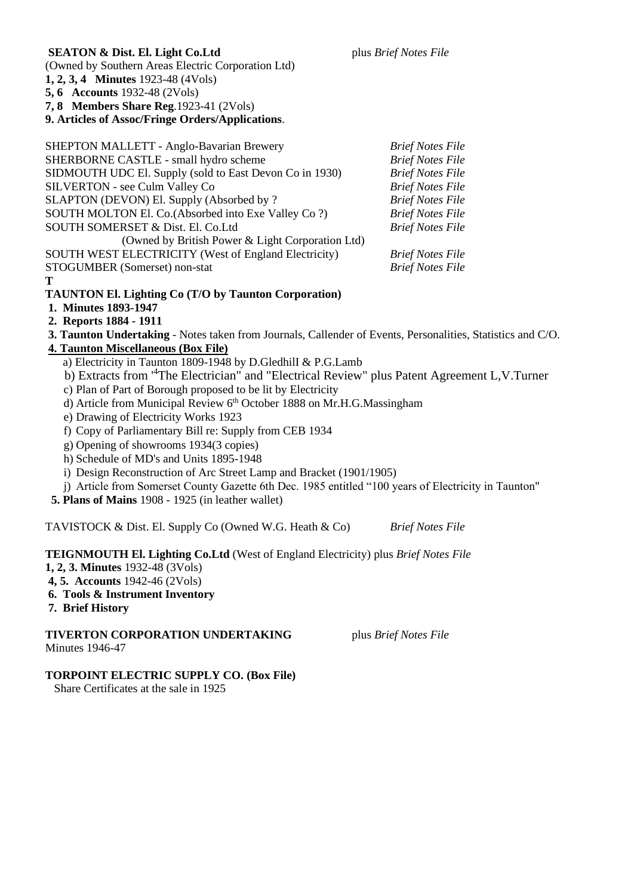#### **SEATON & Dist. El. Light Co.Ltd** plus *Brief Notes File*

(Owned by Southern Areas Electric Corporation Ltd)

**1, 2, 3, 4 Minutes** 1923-48 (4Vols)

**5, 6 Accounts** 1932-48 (2Vols)

**7, 8 Members Share Reg**.1923-41 (2Vols)

### **9. Articles of Assoc/Fringe Orders/Applications**.

| <b>Brief Notes File</b> |
|-------------------------|
| <b>Brief Notes File</b> |
| <b>Brief Notes File</b> |
| <b>Brief Notes File</b> |
| <b>Brief Notes File</b> |
| <b>Brief Notes File</b> |
| <b>Brief Notes File</b> |
|                         |
| <b>Brief Notes File</b> |
| <b>Brief Notes File</b> |
|                         |

#### **T**

# **TAUNTON El. Lighting Co (T/O by Taunton Corporation)**

- **1. Minutes 1893-1947**
- **2. Reports 1884 - 1911**
- **3. Taunton Undertaking** Notes taken from Journals, Callender of Events, Personalities, Statistics and C/O.
- **4. Taunton Miscellaneous (Box File)**
	- a) Electricity in Taunton 1809-1948 by D.GledhilI & P.G.Lamb
	- b) Extracts from '<sup>4</sup>The Electrician" and "Electrical Review" plus Patent Agreement L,V.Turner
	- c) Plan of Part of Borough proposed to be lit by Electricity
	- d) Article from Municipal Review 6<sup>th</sup> October 1888 on Mr.H.G.Massingham
	- e) Drawing of Electricity Works 1923
	- f) Copy of Parliamentary Bill re: Supply from CEB 1934
	- g) Opening of showrooms 1934(3 copies)
	- h) Schedule of MD's and Units 1895-1948
	- i) Design Reconstruction of Arc Street Lamp and Bracket (1901/1905)
	- j) Article from Somerset County Gazette 6th Dec. 1985 entitled "100 years of Electricity in Taunton"

**5. Plans of Mains** 1908 - 1925 (in leather wallet)

TAVISTOCK & Dist. El. Supply Co (Owned W.G. Heath & Co) *Brief Notes File*

# **TEIGNMOUTH El. Lighting Co.Ltd** (West of England Electricity) plus *Brief Notes File*

- **1, 2, 3. Minutes** 1932-48 (3Vols)
- **4, 5. Accounts** 1942-46 (2Vols)
- **6. Tools & Instrument Inventory**
- **7. Brief History**

**TIVERTON CORPORATION UNDERTAKING** plus *Brief Notes File* Minutes 1946-47

# **TORPOINT ELECTRIC SUPPLY CO. (Box File)**

Share Certificates at the sale in 1925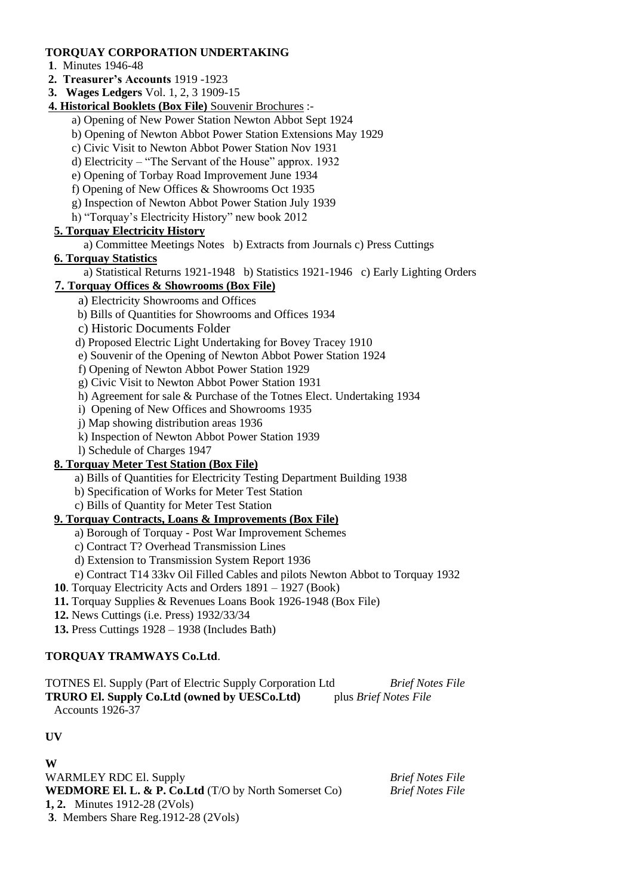# **TORQUAY CORPORATION UNDERTAKING**

- **1**. Minutes 1946-48
- **2. Treasurer's Accounts** 1919 -1923
- **3. Wages Ledgers** Vol. 1, 2, 3 1909-15
- **4. Historical Booklets (Box File)** Souvenir Brochures :
	- a) Opening of New Power Station Newton Abbot Sept 1924
	- b) Opening of Newton Abbot Power Station Extensions May 1929
	- c) Civic Visit to Newton Abbot Power Station Nov 1931
	- d) Electricity "The Servant of the House" approx. 1932
	- e) Opening of Torbay Road Improvement June 1934
	- f) Opening of New Offices & Showrooms Oct 1935
	- g) Inspection of Newton Abbot Power Station July 1939
	- h) "Torquay's Electricity History" new book 2012

# **5. Torquay Electricity History**

a) Committee Meetings Notes b) Extracts from Journals c) Press Cuttings

# **6. Torquay Statistics**

a) Statistical Returns 1921-1948 b) Statistics 1921-1946 c) Early Lighting Orders

# **7. Torquay Offices & Showrooms (Box File)**

- a) Electricity Showrooms and Offices
- b) Bills of Quantities for Showrooms and Offices 1934
- c) Historic Documents Folder
- d) Proposed Electric Light Undertaking for Bovey Tracey 1910
- e) Souvenir of the Opening of Newton Abbot Power Station 1924
- f) Opening of Newton Abbot Power Station 1929
- g) Civic Visit to Newton Abbot Power Station 1931
- h) Agreement for sale & Purchase of the Totnes Elect. Undertaking 1934
- i) Opening of New Offices and Showrooms 1935
- j) Map showing distribution areas 1936
- k) Inspection of Newton Abbot Power Station 1939
- l) Schedule of Charges 1947

# **8. Torquay Meter Test Station (Box File)**

- a) Bills of Quantities for Electricity Testing Department Building 1938
- b) Specification of Works for Meter Test Station
- c) Bills of Quantity for Meter Test Station

# **9. Torquay Contracts, Loans & Improvements (Box File)**

- a) Borough of Torquay Post War Improvement Schemes
- c) Contract T? Overhead Transmission Lines
- d) Extension to Transmission System Report 1936
- e) Contract T14 33kv Oil Filled Cables and pilots Newton Abbot to Torquay 1932
- **10**. Torquay Electricity Acts and Orders 1891 1927 (Book)
- **11.** Torquay Supplies & Revenues Loans Book 1926-1948 (Box File)
- **12.** News Cuttings (i.e. Press) 1932/33/34
- **13.** Press Cuttings 1928 1938 (Includes Bath)

# **TORQUAY TRAMWAYS Co.Ltd**.

TOTNES El. Supply (Part of Electric Supply Corporation Ltd *Brief Notes File* **TRURO El. Supply Co.Ltd (owned by UESCo.Ltd)** plus *Brief Notes File* Accounts 1926-37

# **UV**

**W** WARMLEY RDC El. Supply *Brief Notes File* **WEDMORE El. L. & P. Co.Ltd** (T/O by North Somerset Co) *Brief Notes File* **1, 2.** Minutes 1912-28 (2Vols) **3**. Members Share Reg.1912-28 (2Vols)